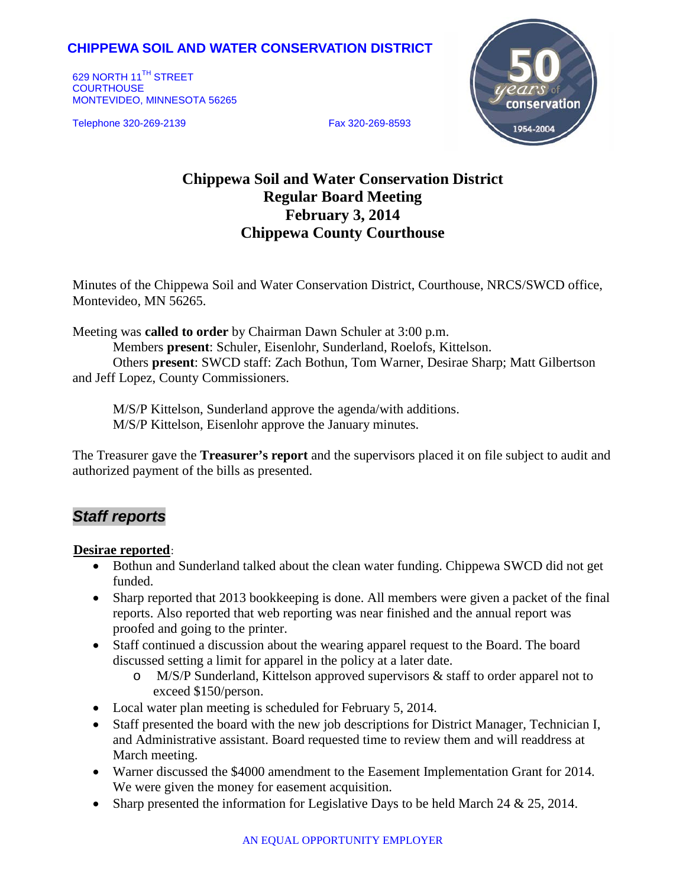## **CHIPPEWA SOIL AND WATER CONSERVATION DISTRICT**

629 NORTH 11<sup>TH</sup> STREET **COURTHOUSE** MONTEVIDEO, MINNESOTA 56265

Telephone 320-269-2139 Fax 320-269-8593



# **Chippewa Soil and Water Conservation District Regular Board Meeting February 3, 2014 Chippewa County Courthouse**

Minutes of the Chippewa Soil and Water Conservation District, Courthouse, NRCS/SWCD office, Montevideo, MN 56265.

Meeting was **called to order** by Chairman Dawn Schuler at 3:00 p.m.

Members **present**: Schuler, Eisenlohr, Sunderland, Roelofs, Kittelson. Others **present**: SWCD staff: Zach Bothun, Tom Warner, Desirae Sharp; Matt Gilbertson and Jeff Lopez, County Commissioners.

M/S/P Kittelson, Sunderland approve the agenda/with additions. M/S/P Kittelson, Eisenlohr approve the January minutes.

The Treasurer gave the **Treasurer's report** and the supervisors placed it on file subject to audit and authorized payment of the bills as presented.

## *Staff reports*

#### **Desirae reported**:

- Bothun and Sunderland talked about the clean water funding. Chippewa SWCD did not get funded.
- Sharp reported that 2013 bookkeeping is done. All members were given a packet of the final reports. Also reported that web reporting was near finished and the annual report was proofed and going to the printer.
- Staff continued a discussion about the wearing apparel request to the Board. The board discussed setting a limit for apparel in the policy at a later date.
	- o M/S/P Sunderland, Kittelson approved supervisors & staff to order apparel not to exceed \$150/person.
- Local water plan meeting is scheduled for February 5, 2014.
- Staff presented the board with the new job descriptions for District Manager, Technician I, and Administrative assistant. Board requested time to review them and will readdress at March meeting.
- Warner discussed the \$4000 amendment to the Easement Implementation Grant for 2014. We were given the money for easement acquisition.
- Sharp presented the information for Legislative Days to be held March 24  $& 25, 2014$ .